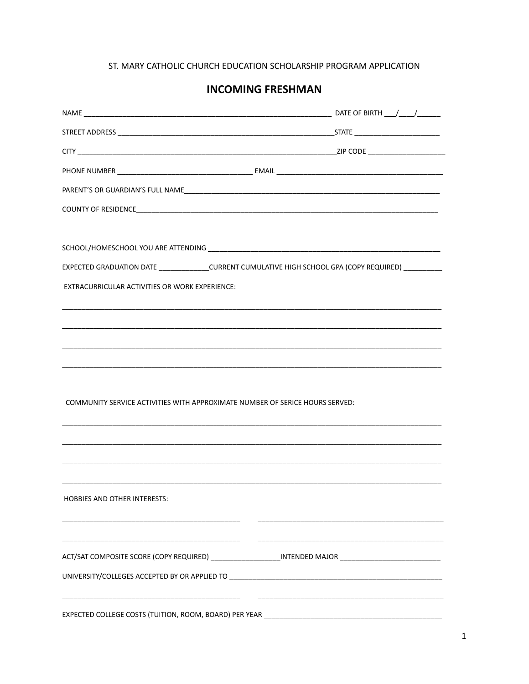### ST. MARY CATHOLIC CHURCH EDUCATION SCHOLARSHIP PROGRAM APPLICATION

## **INCOMING FRESHMAN**

| EXPECTED GRADUATION DATE _______________CURRENT CUMULATIVE HIGH SCHOOL GPA (COPY REQUIRED) _________ |  |
|------------------------------------------------------------------------------------------------------|--|
| EXTRACURRICULAR ACTIVITIES OR WORK EXPERIENCE:                                                       |  |
|                                                                                                      |  |
|                                                                                                      |  |
|                                                                                                      |  |
|                                                                                                      |  |
|                                                                                                      |  |
| COMMUNITY SERVICE ACTIVITIES WITH APPROXIMATE NUMBER OF SERICE HOURS SERVED:                         |  |
|                                                                                                      |  |
|                                                                                                      |  |
|                                                                                                      |  |
|                                                                                                      |  |
| <b>HOBBIES AND OTHER INTERESTS:</b>                                                                  |  |
|                                                                                                      |  |
|                                                                                                      |  |
| ACT/SAT COMPOSITE SCORE (COPY REQUIRED) ____________________INTENDED MAJOR _________________________ |  |
|                                                                                                      |  |
|                                                                                                      |  |
|                                                                                                      |  |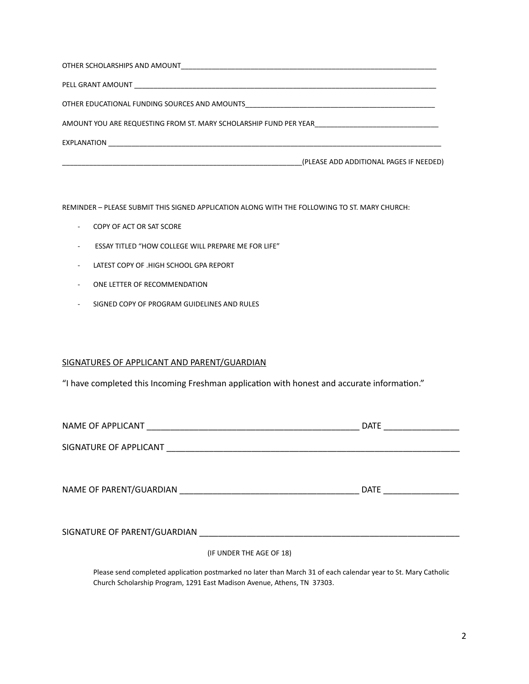| OTHER EDUCATIONAL FUNDING SOURCES AND AMOUNTS                     |
|-------------------------------------------------------------------|
| AMOUNT YOU ARE REQUESTING FROM ST. MARY SCHOLARSHIP FUND PER YEAR |
| EXPLANATION                                                       |
| (PLEASE ADD ADDITIONAL PAGES IF NEEDED)                           |

REMINDER – PLEASE SUBMIT THIS SIGNED APPLICATION ALONG WITH THE FOLLOWING TO ST. MARY CHURCH:

- COPY OF ACT OR SAT SCORE
- ESSAY TITLED "HOW COLLEGE WILL PREPARE ME FOR LIFE"
- LATEST COPY OF .HIGH SCHOOL GPA REPORT
- ONE LETTER OF RECOMMENDATION
- SIGNED COPY OF PROGRAM GUIDELINES AND RULES

#### SIGNATURES OF APPLICANT AND PARENT/GUARDIAN

"I have completed this Incoming Freshman application with honest and accurate information."

|                        |                                                                     | <b>DATE</b> |
|------------------------|---------------------------------------------------------------------|-------------|
| SIGNATURE OF APPLICANT | <u> 1980 - Johann Stoff, amerikansk politiker (d. 1980)</u>         |             |
|                        |                                                                     |             |
|                        |                                                                     | DATE        |
|                        |                                                                     |             |
|                        | SIGNATURE OF PARENT/GUARDIAN NAMES AND RESIDENCE OF PARENT/GUARDIAN |             |
|                        | (IF UNDER THE AGE OF 18)                                            |             |
|                        |                                                                     |             |

Please send completed application postmarked no later than March 31 of each calendar year to St. Mary Catholic Church Scholarship Program, 1291 East Madison Avenue, Athens, TN 37303.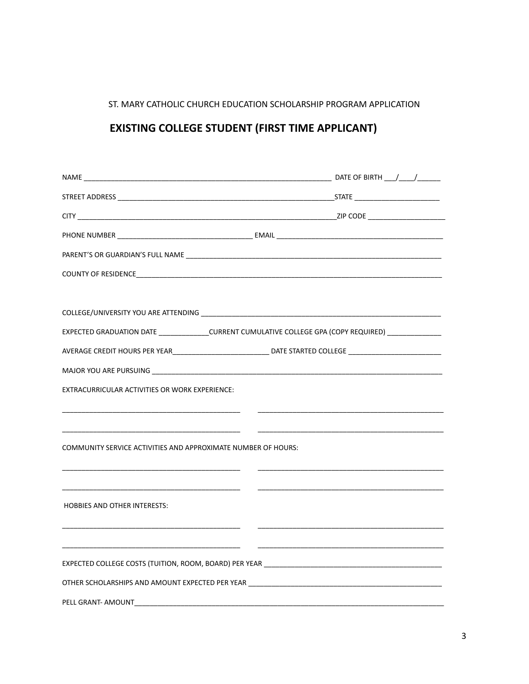## ST. MARY CATHOLIC CHURCH EDUCATION SCHOLARSHIP PROGRAM APPLICATION

# **EXISTING COLLEGE STUDENT (FIRST TIME APPLICANT)**

|                                                               | COUNTY OF RESIDENCE <b>And All Accounts and Accounts</b> and Accounts and Accounts are all accounts of the accounts of  |
|---------------------------------------------------------------|-------------------------------------------------------------------------------------------------------------------------|
|                                                               |                                                                                                                         |
|                                                               |                                                                                                                         |
|                                                               | EXPECTED GRADUATION DATE _______________CURRENT CUMULATIVE COLLEGE GPA (COPY REQUIRED) _____________                    |
|                                                               | AVERAGE CREDIT HOURS PER YEAR_______________________________ DATE STARTED COLLEGE ____________________________          |
|                                                               |                                                                                                                         |
| EXTRACURRICULAR ACTIVITIES OR WORK EXPERIENCE:                |                                                                                                                         |
|                                                               |                                                                                                                         |
|                                                               |                                                                                                                         |
| COMMUNITY SERVICE ACTIVITIES AND APPROXIMATE NUMBER OF HOURS: |                                                                                                                         |
|                                                               |                                                                                                                         |
|                                                               | <u> 1989 - Johann Harry Harry Harry Harry Harry Harry Harry Harry Harry Harry Harry Harry Harry Harry Harry Harry H</u> |
| <b>HOBBIES AND OTHER INTERESTS:</b>                           |                                                                                                                         |
|                                                               |                                                                                                                         |
|                                                               |                                                                                                                         |
|                                                               |                                                                                                                         |
|                                                               |                                                                                                                         |
| PELL GRANT- AMOUNT                                            |                                                                                                                         |